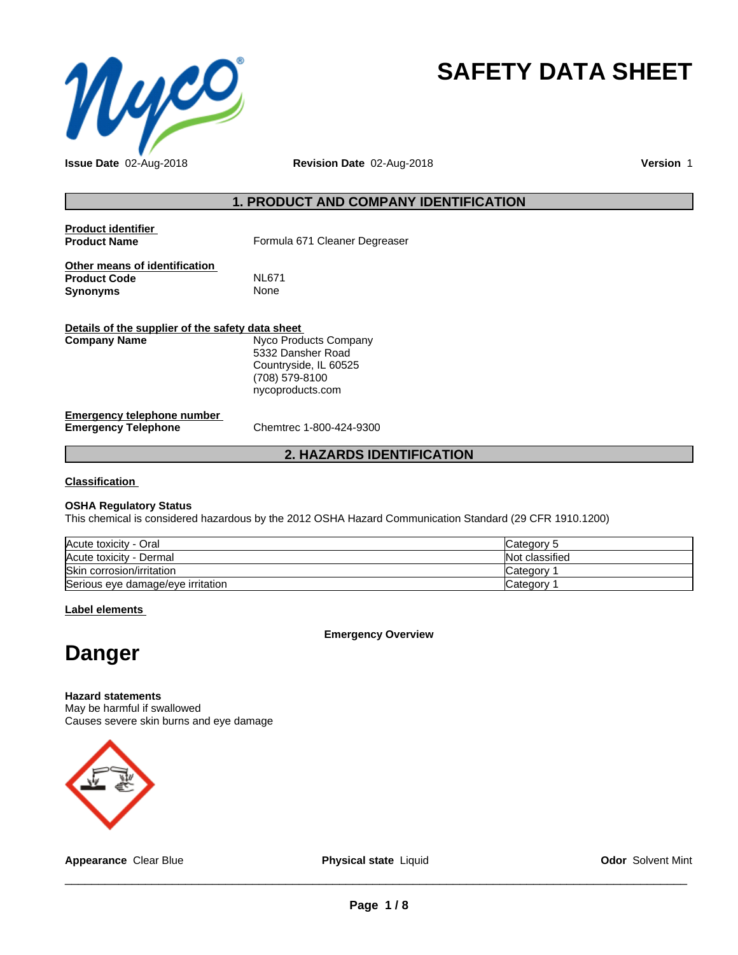

# **SAFETY DATA SHEET**

**Issue Date** 02-Aug-2018 **Revision Date** 02-Aug-2018 **Version** 1

## **1. PRODUCT AND COMPANY IDENTIFICATION**

| <b>Product identifier</b><br><b>Product Name</b>     | Formula 671 Cleaner Degreaser |
|------------------------------------------------------|-------------------------------|
| Other means of identification<br><b>Product Code</b> | <b>NL671</b>                  |
| Synonyms                                             | None                          |
| Dataila af tha annuallas af tha agfatu data ahaat    |                               |

| Details of the supplier of the safety data sheet                |                                                                                                           |
|-----------------------------------------------------------------|-----------------------------------------------------------------------------------------------------------|
| <b>Company Name</b>                                             | Nyco Products Company<br>5332 Dansher Road<br>Countryside, IL 60525<br>(708) 579-8100<br>nycoproducts.com |
| <b>Emergency telephone number</b><br><b>Emergency Telephone</b> | Chemtrec 1-800-424-9300                                                                                   |

# **2. HAZARDS IDENTIFICATION**

**Classification**

#### **OSHA Regulatory Status**

This chemical is considered hazardous by the 2012 OSHA Hazard Communication Standard (29 CFR 1910.1200)

| Acute toxicity - Oral             | Category 5     |
|-----------------------------------|----------------|
| Acute toxicity - Dermal           | Not classified |
| Skin corrosion/irritation         | Category       |
| Serious eye damage/eye irritation | Category       |

**Label elements**

**Emergency Overview**

# **Danger**

**Hazard statements** May be harmful if swallowed Causes severe skin burns and eye damage



**Appearance** Clear Blue **Physical state** Liquid

 $\overline{\phantom{a}}$  ,  $\overline{\phantom{a}}$  ,  $\overline{\phantom{a}}$  ,  $\overline{\phantom{a}}$  ,  $\overline{\phantom{a}}$  ,  $\overline{\phantom{a}}$  ,  $\overline{\phantom{a}}$  ,  $\overline{\phantom{a}}$  ,  $\overline{\phantom{a}}$  ,  $\overline{\phantom{a}}$  ,  $\overline{\phantom{a}}$  ,  $\overline{\phantom{a}}$  ,  $\overline{\phantom{a}}$  ,  $\overline{\phantom{a}}$  ,  $\overline{\phantom{a}}$  ,  $\overline{\phantom{a}}$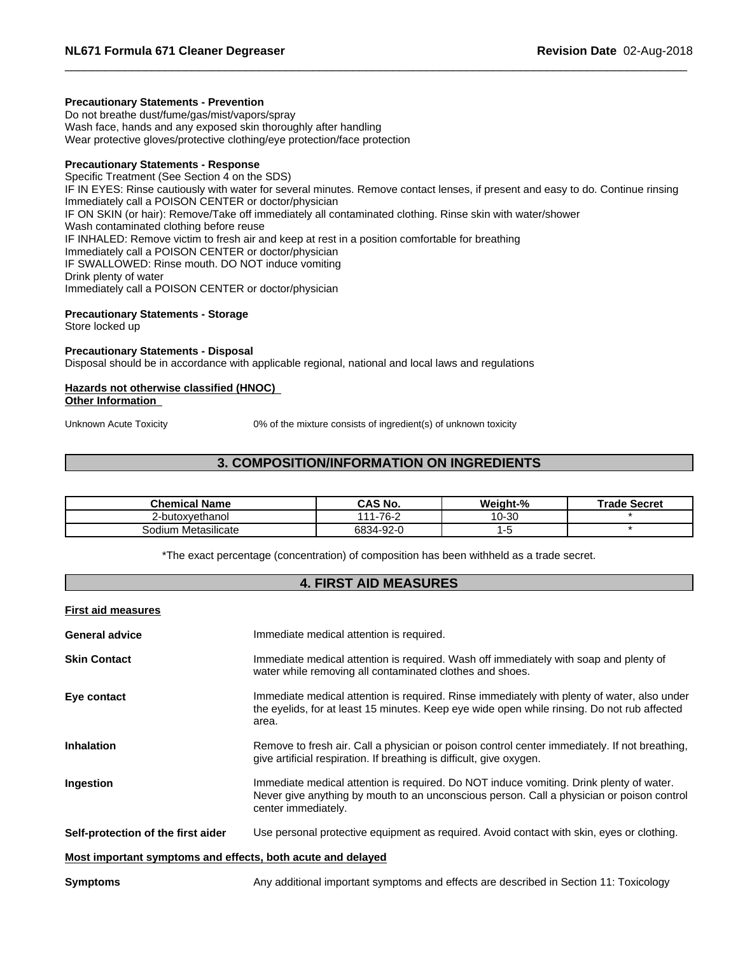# **Precautionary Statements - Prevention**

Do not breathe dust/fume/gas/mist/vapors/spray Wash face, hands and any exposed skin thoroughly after handling Wear protective gloves/protective clothing/eye protection/face protection

# **Precautionary Statements - Response**

Specific Treatment (See Section 4 on the SDS) IF IN EYES: Rinse cautiously with water for several minutes. Remove contact lenses, if present and easy to do. Continue rinsing Immediately call a POISON CENTER or doctor/physician IF ON SKIN (or hair): Remove/Take off immediately all contaminated clothing. Rinse skin with water/shower Wash contaminated clothing before reuse IF INHALED: Remove victim to fresh air and keep at rest in a position comfortable for breathing Immediately call a POISON CENTER or doctor/physician IF SWALLOWED: Rinse mouth. DO NOT induce vomiting Drink plenty of water Immediately call a POISON CENTER or doctor/physician

# **Precautionary Statements - Storage**

Store locked up

# **Precautionary Statements - Disposal**

Disposal should be in accordance with applicable regional, national and local laws and regulations

#### **Hazards not otherwise classified (HNOC) Other Information**

Unknown Acute Toxicity 0% of the mixture consists of ingredient(s) of unknown toxicity

# **3. COMPOSITION/INFORMATION ON INGREDIENTS**

| <b>ःnemical Name</b>         | <b>S No.</b><br>. л<br>$\sim$    | Weight-% | <b>Secret</b><br>г.<br>ос |
|------------------------------|----------------------------------|----------|---------------------------|
| -butoxvethanol               | -76-<br>$\overline{A}$           | 10-30    |                           |
| <br>ı Metasılıcate<br>50dium | 6834-9<br>nn n<br><b>⁄−</b><br>ັ |          |                           |

\*The exact percentage (concentration) of composition has been withheld as a trade secret.

### **4. FIRST AID MEASURES**

| <b>First aid measures</b>                                                                                                                                                                                                |  |
|--------------------------------------------------------------------------------------------------------------------------------------------------------------------------------------------------------------------------|--|
| <b>General advice</b><br>Immediate medical attention is required.                                                                                                                                                        |  |
| Immediate medical attention is required. Wash off immediately with soap and plenty of<br><b>Skin Contact</b><br>water while removing all contaminated clothes and shoes.                                                 |  |
| Immediate medical attention is required. Rinse immediately with plenty of water, also under<br>Eye contact<br>the eyelids, for at least 15 minutes. Keep eye wide open while rinsing. Do not rub affected<br>area.       |  |
| Remove to fresh air. Call a physician or poison control center immediately. If not breathing,<br><b>Inhalation</b><br>give artificial respiration. If breathing is difficult, give oxygen.                               |  |
| Immediate medical attention is required. Do NOT induce vomiting. Drink plenty of water.<br>Ingestion<br>Never give anything by mouth to an unconscious person. Call a physician or poison control<br>center immediately. |  |
| Self-protection of the first aider<br>Use personal protective equipment as required. Avoid contact with skin, eyes or clothing.                                                                                          |  |
| Most important symptoms and effects, both acute and delayed                                                                                                                                                              |  |

**Symptoms Any additional important symptoms and effects are described in Section 11: Toxicology**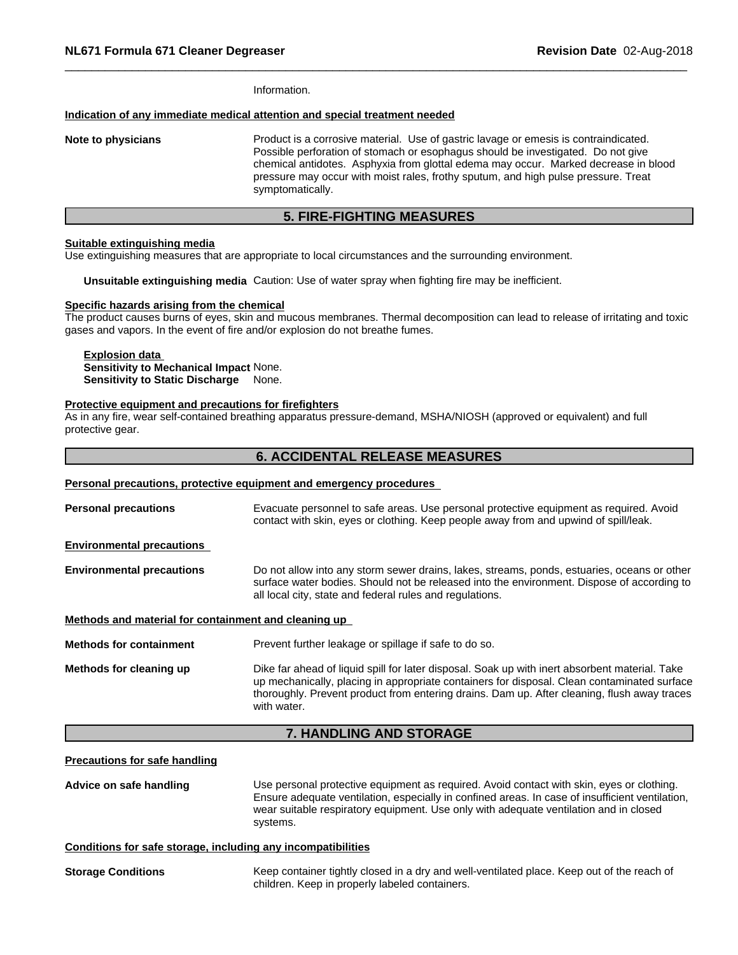Information.

#### **Indication of any immediate medical attention and special treatment needed**

**Note to physicians** Product is a corrosive material. Use of gastric lavage or emesis is contraindicated. Possible perforation of stomach or esophagus should be investigated. Do not give chemical antidotes. Asphyxia from glottal edema may occur. Marked decrease in blood pressure may occur with moist rales, frothy sputum, and high pulse pressure. Treat symptomatically.

#### **5. FIRE-FIGHTING MEASURES**

#### **Suitable extinguishing media**

Use extinguishing measures that are appropriate to local circumstances and the surrounding environment.

**Unsuitable extinguishing media** Caution: Use of water spray when fighting fire may be inefficient.

#### **Specific hazards arising from the chemical**

The product causes burns of eyes, skin and mucous membranes. Thermal decomposition can lead to release of irritating and toxic gases and vapors. In the event of fire and/or explosion do not breathe fumes.

#### **Explosion data Sensitivity to Mechanical Impact** None. **Sensitivity to Static Discharge** None.

#### **Protective equipment and precautions for firefighters**

As in any fire, wear self-contained breathing apparatus pressure-demand, MSHA/NIOSH (approved or equivalent) and full protective gear.

#### **6. ACCIDENTAL RELEASE MEASURES**

| Personal precautions, protective equipment and emergency procedures                                                                                                                                                                                                                                         |
|-------------------------------------------------------------------------------------------------------------------------------------------------------------------------------------------------------------------------------------------------------------------------------------------------------------|
| Evacuate personnel to safe areas. Use personal protective equipment as required. Avoid<br>contact with skin, eyes or clothing. Keep people away from and upwind of spill/leak.                                                                                                                              |
|                                                                                                                                                                                                                                                                                                             |
| Do not allow into any storm sewer drains, lakes, streams, ponds, estuaries, oceans or other<br>surface water bodies. Should not be released into the environment. Dispose of according to<br>all local city, state and federal rules and regulations.                                                       |
| Methods and material for containment and cleaning up                                                                                                                                                                                                                                                        |
| Prevent further leakage or spillage if safe to do so.                                                                                                                                                                                                                                                       |
| Dike far ahead of liquid spill for later disposal. Soak up with inert absorbent material. Take<br>up mechanically, placing in appropriate containers for disposal. Clean contaminated surface<br>thoroughly. Prevent product from entering drains. Dam up. After cleaning, flush away traces<br>with water. |
|                                                                                                                                                                                                                                                                                                             |

#### **7. HANDLING AND STORAGE**

#### **Precautions for safe handling**

**Advice on safe handling** Use personal protective equipment as required.Avoid contact with skin, eyes or clothing. Ensure adequate ventilation, especially in confined areas. In case of insufficient ventilation, wear suitable respiratory equipment. Use only with adequate ventilation and in closed systems.

#### **Conditions for safe storage, including any incompatibilities**

**Storage Conditions** Keep container tightly closed in a dry and well-ventilated place. Keep out of the reach of children. Keep in properly labeled containers.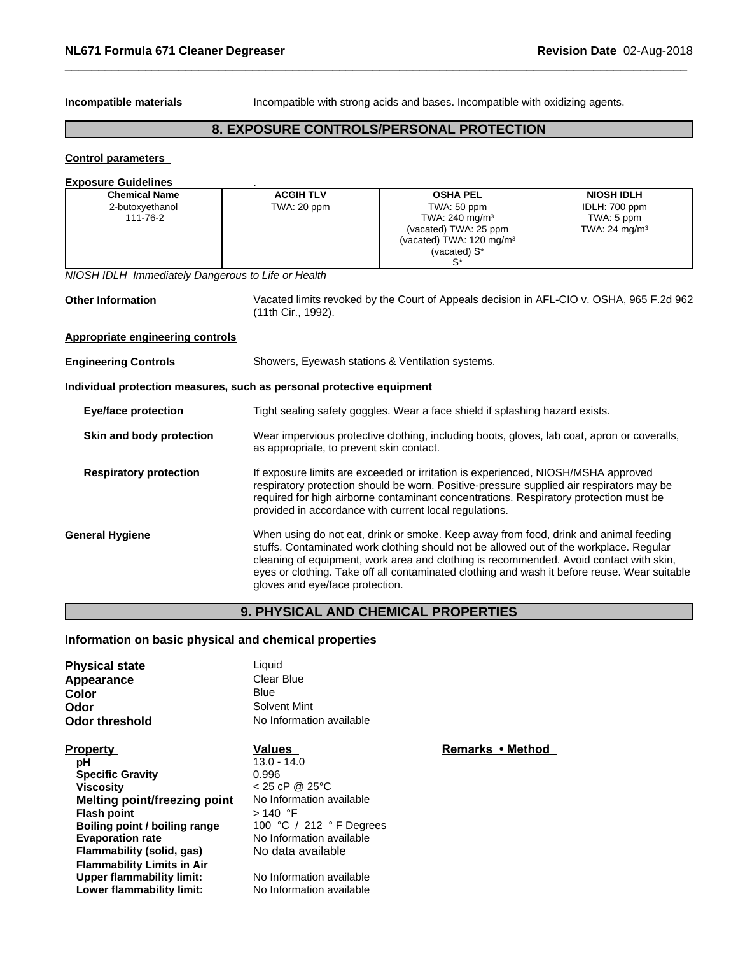**Incompatible materials Incompatible** with strong acids and bases. Incompatible with oxidizing agents.

# **8. EXPOSURE CONTROLS/PERSONAL PROTECTION**

### **Control parameters**

| <b>Exposure Guidelines</b>                                            |                                          |                                                                                                                                                                                                                                                                                                                                                                          |                                                          |  |  |
|-----------------------------------------------------------------------|------------------------------------------|--------------------------------------------------------------------------------------------------------------------------------------------------------------------------------------------------------------------------------------------------------------------------------------------------------------------------------------------------------------------------|----------------------------------------------------------|--|--|
| <b>Chemical Name</b>                                                  | <b>ACGIH TLV</b>                         | <b>OSHA PEL</b>                                                                                                                                                                                                                                                                                                                                                          | <b>NIOSH IDLH</b>                                        |  |  |
| 2-butoxyethanol<br>111-76-2                                           | $\overline{\text{TW}}$ A: 20 ppm         | TWA: 50 ppm<br>TWA: 240 mg/m <sup>3</sup><br>(vacated) TWA: 25 ppm<br>(vacated) TWA: 120 mg/m <sup>3</sup><br>(vacated) S*<br>$S^*$                                                                                                                                                                                                                                      | IDLH: 700 ppm<br>TWA: 5 ppm<br>TWA: 24 mg/m <sup>3</sup> |  |  |
| NIOSH IDLH Immediately Dangerous to Life or Health                    |                                          |                                                                                                                                                                                                                                                                                                                                                                          |                                                          |  |  |
| <b>Other Information</b>                                              | (11th Cir., 1992).                       | Vacated limits revoked by the Court of Appeals decision in AFL-CIO v. OSHA, 965 F.2d 962                                                                                                                                                                                                                                                                                 |                                                          |  |  |
| Appropriate engineering controls                                      |                                          |                                                                                                                                                                                                                                                                                                                                                                          |                                                          |  |  |
| <b>Engineering Controls</b>                                           |                                          | Showers, Eyewash stations & Ventilation systems.                                                                                                                                                                                                                                                                                                                         |                                                          |  |  |
| Individual protection measures, such as personal protective equipment |                                          |                                                                                                                                                                                                                                                                                                                                                                          |                                                          |  |  |
| <b>Eye/face protection</b>                                            |                                          | Tight sealing safety goggles. Wear a face shield if splashing hazard exists.                                                                                                                                                                                                                                                                                             |                                                          |  |  |
| Skin and body protection                                              | as appropriate, to prevent skin contact. | Wear impervious protective clothing, including boots, gloves, lab coat, apron or coveralls,                                                                                                                                                                                                                                                                              |                                                          |  |  |
| <b>Respiratory protection</b>                                         |                                          | If exposure limits are exceeded or irritation is experienced, NIOSH/MSHA approved<br>respiratory protection should be worn. Positive-pressure supplied air respirators may be<br>required for high airborne contaminant concentrations. Respiratory protection must be<br>provided in accordance with current local regulations.                                         |                                                          |  |  |
| <b>General Hygiene</b>                                                | gloves and eye/face protection.          | When using do not eat, drink or smoke. Keep away from food, drink and animal feeding<br>stuffs. Contaminated work clothing should not be allowed out of the workplace. Regular<br>cleaning of equipment, work area and clothing is recommended. Avoid contact with skin,<br>eyes or clothing. Take off all contaminated clothing and wash it before reuse. Wear suitable |                                                          |  |  |

# **9. PHYSICAL AND CHEMICAL PROPERTIES**

# **Information on basic physical and chemical properties**

| <b>Physical state</b>             | Liquid                   |                  |  |
|-----------------------------------|--------------------------|------------------|--|
| Appearance                        | Clear Blue               |                  |  |
| Color                             | <b>Blue</b>              |                  |  |
| Odor                              | Solvent Mint             |                  |  |
| Odor threshold                    | No Information available |                  |  |
| <b>Property</b>                   | <b>Values</b>            | Remarks • Method |  |
| рH                                | $13.0 - 14.0$            |                  |  |
| <b>Specific Gravity</b>           | 0.996                    |                  |  |
| <b>Viscosity</b>                  | $< 25$ cP @ 25°C         |                  |  |
| Melting point/freezing point      | No Information available |                  |  |
| <b>Flash point</b>                | > 140 °F                 |                  |  |
| Boiling point / boiling range     | 100 °C / 212 °F Degrees  |                  |  |
| <b>Evaporation rate</b>           | No Information available |                  |  |
| Flammability (solid, gas)         | No data available        |                  |  |
| <b>Flammability Limits in Air</b> |                          |                  |  |
| <b>Upper flammability limit:</b>  | No Information available |                  |  |
| Lower flammability limit:         | No Information available |                  |  |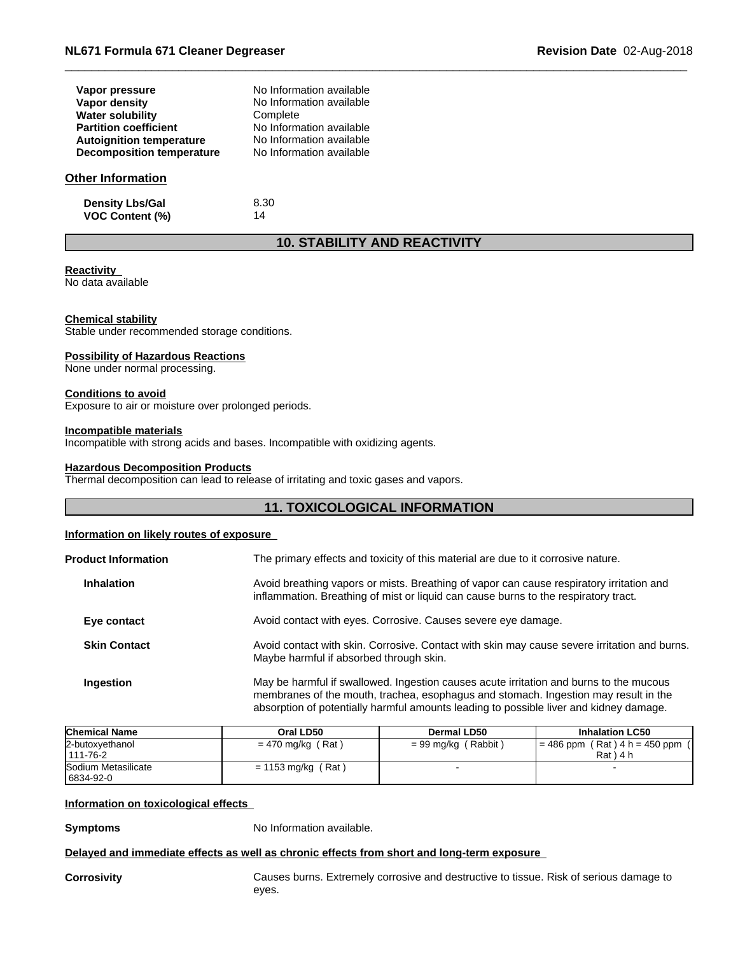| Vapor pressure                  | No Information available |
|---------------------------------|--------------------------|
| Vapor density                   | No Information available |
| <b>Water solubility</b>         | Complete                 |
| <b>Partition coefficient</b>    | No Information available |
| <b>Autoignition temperature</b> | No Information available |
| Decomposition temperature       | No Information available |

#### **Other Information**

**Density Lbs/Gal** 8.30 **VOC Content (%)** 14

# **10. STABILITY AND REACTIVITY**

#### **Reactivity**

No data available

#### **Chemical stability**

Stable under recommended storage conditions.

#### **Possibility of Hazardous Reactions**

None under normal processing.

#### **Conditions to avoid**

Exposure to air or moisture over prolonged periods.

#### **Incompatible materials**

Incompatible with strong acids and bases. Incompatible with oxidizing agents.

#### **Hazardous Decomposition Products**

Thermal decomposition can lead to release of irritating and toxic gases and vapors.

# **11. TOXICOLOGICAL INFORMATION**

#### **Information on likely routes of exposure**

| <b>Product Information</b> | The primary effects and toxicity of this material are due to it corrosive nature.                                                                                                                                                                                       |
|----------------------------|-------------------------------------------------------------------------------------------------------------------------------------------------------------------------------------------------------------------------------------------------------------------------|
| <b>Inhalation</b>          | Avoid breathing vapors or mists. Breathing of vapor can cause respiratory irritation and<br>inflammation. Breathing of mist or liquid can cause burns to the respiratory tract.                                                                                         |
| Eye contact                | Avoid contact with eyes. Corrosive. Causes severe eye damage.                                                                                                                                                                                                           |
| <b>Skin Contact</b>        | Avoid contact with skin. Corrosive. Contact with skin may cause severe irritation and burns.<br>Maybe harmful if absorbed through skin.                                                                                                                                 |
| Ingestion                  | May be harmful if swallowed. Ingestion causes acute irritation and burns to the mucous<br>membranes of the mouth, trachea, esophagus and stomach. Ingestion may result in the<br>absorption of potentially harmful amounts leading to possible liver and kidney damage. |

| <b>Chemical Name</b> | Oral LD50            | Dermal LD50           | <b>Inhalation LC50</b>            |
|----------------------|----------------------|-----------------------|-----------------------------------|
| 2-butoxyethanol      | $= 470$ mg/kg (Rat)  | $= 99$ mg/kg (Rabbit) | $= 486$ ppm (Rat) $4 h = 450$ ppm |
| 111-76-2             |                      |                       | $Rat$ ) 4 h                       |
| Sodium Metasilicate  | $= 1153$ mg/kg (Rat) |                       |                                   |
| 6834-92-0            |                      |                       |                                   |

#### **Information on toxicological effects**

**Symptoms** No Information available.

#### **Delayed and immediate effects as well as chronic effects from short and long-term exposure**

**Corrosivity** Causes burns. Extremely corrosive and destructive to tissue. Risk of serious damage to eyes.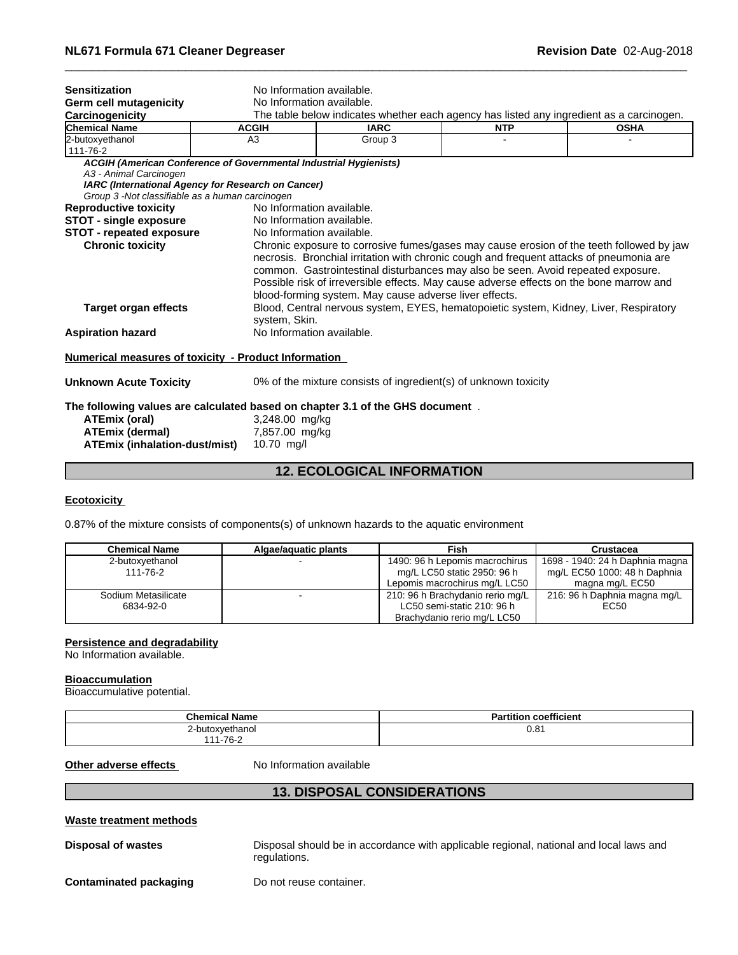| <b>Sensitization</b>                                                          | No Information available.                                                                                               |                                                                                                                                                                                                                                                                                                                                  |            |                                                                                          |  |  |
|-------------------------------------------------------------------------------|-------------------------------------------------------------------------------------------------------------------------|----------------------------------------------------------------------------------------------------------------------------------------------------------------------------------------------------------------------------------------------------------------------------------------------------------------------------------|------------|------------------------------------------------------------------------------------------|--|--|
| Germ cell mutagenicity                                                        |                                                                                                                         | No Information available.                                                                                                                                                                                                                                                                                                        |            |                                                                                          |  |  |
| Carcinogenicity                                                               |                                                                                                                         |                                                                                                                                                                                                                                                                                                                                  |            | The table below indicates whether each agency has listed any ingredient as a carcinogen. |  |  |
| <b>Chemical Name</b>                                                          | <b>ACGIH</b>                                                                                                            | <b>IARC</b>                                                                                                                                                                                                                                                                                                                      | <b>NTP</b> | <b>OSHA</b>                                                                              |  |  |
| 2-butoxyethanol<br>111-76-2                                                   | A <sub>3</sub>                                                                                                          | Group 3                                                                                                                                                                                                                                                                                                                          |            |                                                                                          |  |  |
| A3 - Animal Carcinogen<br>Group 3 -Not classifiable as a human carcinogen     | ACGIH (American Conference of Governmental Industrial Hygienists)<br>IARC (International Agency for Research on Cancer) |                                                                                                                                                                                                                                                                                                                                  |            |                                                                                          |  |  |
| <b>Reproductive toxicity</b>                                                  | No Information available.                                                                                               |                                                                                                                                                                                                                                                                                                                                  |            |                                                                                          |  |  |
| <b>STOT - single exposure</b>                                                 | No Information available.                                                                                               |                                                                                                                                                                                                                                                                                                                                  |            |                                                                                          |  |  |
| <b>STOT - repeated exposure</b>                                               | No Information available.                                                                                               |                                                                                                                                                                                                                                                                                                                                  |            |                                                                                          |  |  |
|                                                                               |                                                                                                                         | necrosis. Bronchial irritation with chronic cough and frequent attacks of pneumonia are<br>common. Gastrointestinal disturbances may also be seen. Avoid repeated exposure.<br>Possible risk of irreversible effects. May cause adverse effects on the bone marrow and<br>blood-forming system. May cause adverse liver effects. |            | Chronic exposure to corrosive fumes/gases may cause erosion of the teeth followed by jaw |  |  |
| <b>Target organ effects</b>                                                   | system, Skin.                                                                                                           | Blood, Central nervous system, EYES, hematopoietic system, Kidney, Liver, Respiratory                                                                                                                                                                                                                                            |            |                                                                                          |  |  |
| <b>Aspiration hazard</b>                                                      | No Information available.                                                                                               |                                                                                                                                                                                                                                                                                                                                  |            |                                                                                          |  |  |
| <b>Numerical measures of toxicity - Product Information</b>                   |                                                                                                                         |                                                                                                                                                                                                                                                                                                                                  |            |                                                                                          |  |  |
| <b>Unknown Acute Toxicity</b>                                                 |                                                                                                                         | 0% of the mixture consists of ingredient(s) of unknown toxicity                                                                                                                                                                                                                                                                  |            |                                                                                          |  |  |
| The following values are calculated based on chapter 3.1 of the GHS document. |                                                                                                                         |                                                                                                                                                                                                                                                                                                                                  |            |                                                                                          |  |  |
| <b>ATEmix (oral)</b>                                                          | 3,248.00 mg/kg                                                                                                          |                                                                                                                                                                                                                                                                                                                                  |            |                                                                                          |  |  |
| <b>ATEmix (dermal)</b>                                                        | 7,857.00 mg/kg                                                                                                          |                                                                                                                                                                                                                                                                                                                                  |            |                                                                                          |  |  |
| ATEmix (inhalation-dust/mist)                                                 | $10.70$ mg/l                                                                                                            |                                                                                                                                                                                                                                                                                                                                  |            |                                                                                          |  |  |
|                                                                               |                                                                                                                         |                                                                                                                                                                                                                                                                                                                                  |            |                                                                                          |  |  |

# **12. ECOLOGICAL INFORMATION**

#### **Ecotoxicity**

0.87% of the mixture consists of components(s) of unknown hazards to the aquatic environment

| <b>Chemical Name</b> | Algae/aguatic plants | Fish                             | Crustacea                       |
|----------------------|----------------------|----------------------------------|---------------------------------|
| 2-butoxvethanol      |                      | 1490: 96 h Lepomis macrochirus   | 1698 - 1940: 24 h Daphnia magna |
| 111-76-2             |                      | mg/L LC50 static 2950: 96 h      | mg/L EC50 1000: 48 h Daphnia    |
|                      |                      | Lepomis macrochirus mg/L LC50    | magna mg/L EC50                 |
| Sodium Metasilicate  |                      | 210: 96 h Brachydanio rerio mg/L | 216: 96 h Daphnia magna mg/L    |
| 6834-92-0            |                      | LC50 semi-static 210: 96 h       | EC50                            |
|                      |                      | Brachydanio rerio mg/L LC50      |                                 |

#### **Persistence and degradability**

No Information available.

#### **Bioaccumulation**

Bioaccumulative potential.

| <b>Chemical Name</b> | <b>Partition coefficient</b> |
|----------------------|------------------------------|
| 2-butoxyethanol      | 0.81                         |
| 111-76-2             |                              |

**Other adverse effects** No Information available

## **13. DISPOSAL CONSIDERATIONS**

#### **Waste treatment methods**

**Disposal of wastes** Disposal should be in accordance with applicable regional, national and local laws and regulations.

**Contaminated packaging** Do not reuse container.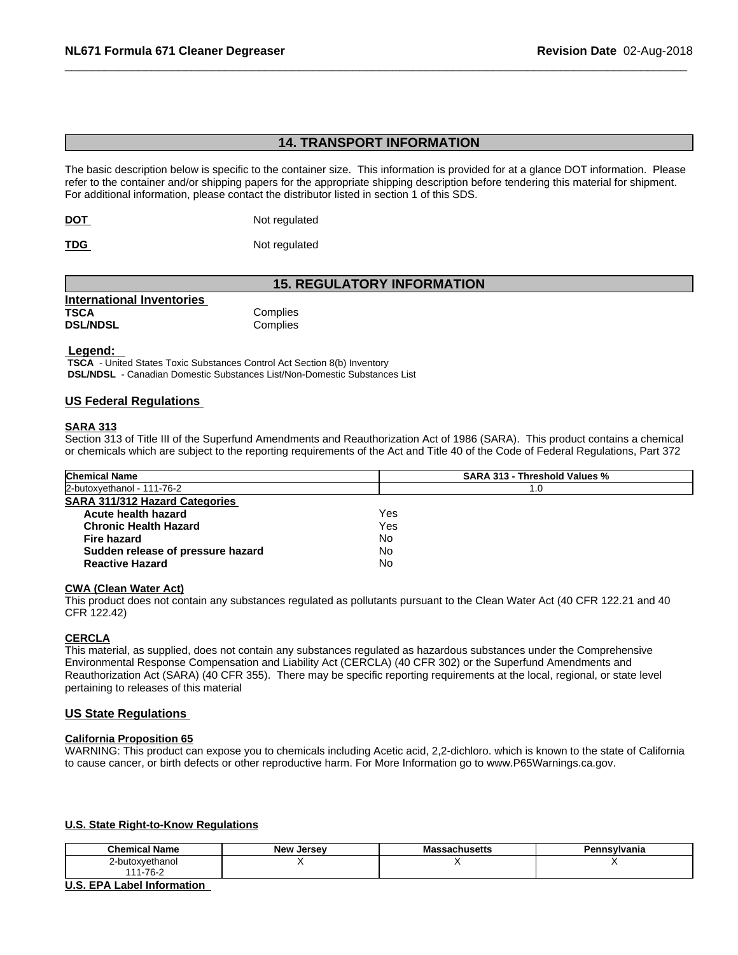# **14. TRANSPORT INFORMATION**

The basic description below is specific to the container size. This information is provided for at a glance DOT information. Please refer to the container and/or shipping papers for the appropriate shipping description before tendering this material for shipment. For additional information, please contact the distributor listed in section 1 of this SDS.

**DOT** Not regulated

**TDG** Not regulated

# **15. REGULATORY INFORMATION**

| <b>International Inventories</b> |          |  |
|----------------------------------|----------|--|
| <b>TSCA</b>                      | Complies |  |
| <b>DSL/NDSL</b>                  | Complies |  |

 **Legend:** 

 **TSCA** - United States Toxic Substances Control Act Section 8(b) Inventory  **DSL/NDSL** - Canadian Domestic Substances List/Non-Domestic Substances List

### **US Federal Regulations**

### **SARA 313**

Section 313 of Title III of the Superfund Amendments and Reauthorization Act of 1986 (SARA). This product contains a chemical or chemicals which are subject to the reporting requirements of the Act and Title 40 of the Code of Federal Regulations, Part 372

| <b>Chemical Name</b>                  |     | <b>SARA 313 - Threshold Values %</b> |  |
|---------------------------------------|-----|--------------------------------------|--|
| 2-butoxyethanol - 111-76-2            |     | 1.0                                  |  |
| <b>SARA 311/312 Hazard Categories</b> |     |                                      |  |
| Acute health hazard                   | Yes |                                      |  |
| <b>Chronic Health Hazard</b>          | Yes |                                      |  |
| Fire hazard                           | No  |                                      |  |
| Sudden release of pressure hazard     | No  |                                      |  |
| <b>Reactive Hazard</b>                | No  |                                      |  |
|                                       |     |                                      |  |

#### **CWA (Clean WaterAct)**

This product does not contain any substances regulated as pollutants pursuant to the Clean Water Act (40 CFR 122.21 and 40 CFR 122.42)

#### **CERCLA**

This material, as supplied, does not contain any substances regulated as hazardous substances under the Comprehensive Environmental Response Compensation and Liability Act (CERCLA) (40 CFR 302) or the Superfund Amendments and Reauthorization Act (SARA) (40 CFR 355). There may be specific reporting requirements at the local, regional, or state level pertaining to releases of this material

### **US State Regulations**

#### **California Proposition 65**

WARNING: This product can expose you to chemicals including Acetic acid, 2,2-dichloro. which is known to the state of California to cause cancer, or birth defects or other reproductive harm. For More Information go to www.P65Warnings.ca.gov.

#### **U.S. State Right-to-Know Regulations**

| hemical Name ب           | <b>Alow</b><br>Jersev | סוי.<br>avnustus | п.<br>.<br>аны |
|--------------------------|-----------------------|------------------|----------------|
| 2-butoxvethanol          |                       |                  | . .            |
| $1 - 76 -$<br>144<br>⊾ ب |                       |                  |                |

#### **U.S. EPA Label Information**